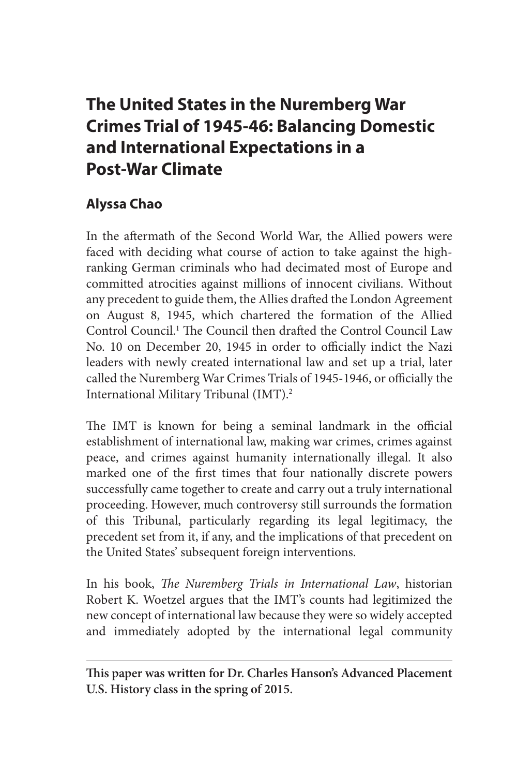# **The United States in the Nuremberg War Crimes Trial of 1945-46: Balancing Domestic and International Expectations in a Post-War Climate**

# **Alyssa Chao**

In the aftermath of the Second World War, the Allied powers were faced with deciding what course of action to take against the highranking German criminals who had decimated most of Europe and committed atrocities against millions of innocent civilians. Without any precedent to guide them, the Allies drafted the London Agreement on August 8, 1945, which chartered the formation of the Allied Control Council.1 The Council then drafted the Control Council Law No. 10 on December 20, 1945 in order to officially indict the Nazi leaders with newly created international law and set up a trial, later called the Nuremberg War Crimes Trials of 1945-1946, or officially the International Military Tribunal (IMT).<sup>2</sup>

The IMT is known for being a seminal landmark in the official establishment of international law, making war crimes, crimes against peace, and crimes against humanity internationally illegal. It also marked one of the first times that four nationally discrete powers successfully came together to create and carry out a truly international proceeding. However, much controversy still surrounds the formation of this Tribunal, particularly regarding its legal legitimacy, the precedent set from it, if any, and the implications of that precedent on the United States' subsequent foreign interventions.

In his book, *The Nuremberg Trials in International Law*, historian Robert K. Woetzel argues that the IMT's counts had legitimized the new concept of international law because they were so widely accepted and immediately adopted by the international legal community

**This paper was written for Dr. Charles Hanson's Advanced Placement U.S. History class in the spring of 2015.**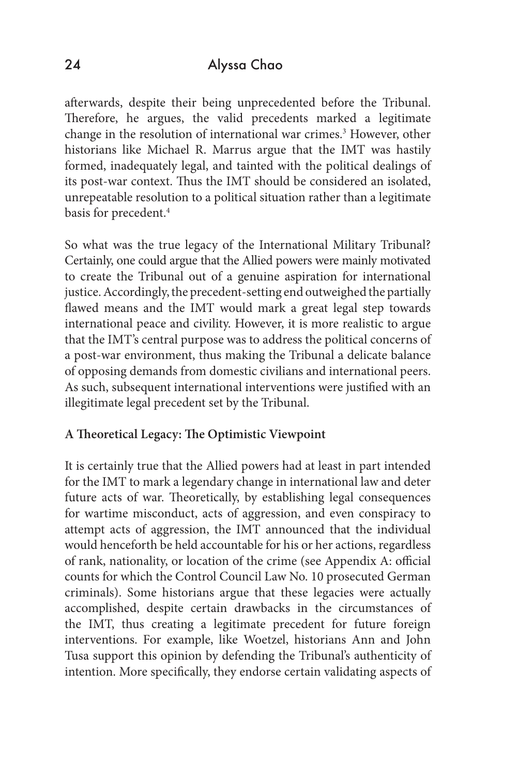afterwards, despite their being unprecedented before the Tribunal. Therefore, he argues, the valid precedents marked a legitimate change in the resolution of international war crimes.<sup>3</sup> However, other historians like Michael R. Marrus argue that the IMT was hastily formed, inadequately legal, and tainted with the political dealings of its post-war context. Thus the IMT should be considered an isolated, unrepeatable resolution to a political situation rather than a legitimate basis for precedent.4

So what was the true legacy of the International Military Tribunal? Certainly, one could argue that the Allied powers were mainly motivated to create the Tribunal out of a genuine aspiration for international justice. Accordingly, the precedent-setting end outweighed the partially flawed means and the IMT would mark a great legal step towards international peace and civility. However, it is more realistic to argue that the IMT's central purpose was to address the political concerns of a post-war environment, thus making the Tribunal a delicate balance of opposing demands from domestic civilians and international peers. As such, subsequent international interventions were justified with an illegitimate legal precedent set by the Tribunal.

#### **A Theoretical Legacy: The Optimistic Viewpoint**

It is certainly true that the Allied powers had at least in part intended for the IMT to mark a legendary change in international law and deter future acts of war. Theoretically, by establishing legal consequences for wartime misconduct, acts of aggression, and even conspiracy to attempt acts of aggression, the IMT announced that the individual would henceforth be held accountable for his or her actions, regardless of rank, nationality, or location of the crime (see Appendix A: official counts for which the Control Council Law No. 10 prosecuted German criminals). Some historians argue that these legacies were actually accomplished, despite certain drawbacks in the circumstances of the IMT, thus creating a legitimate precedent for future foreign interventions. For example, like Woetzel, historians Ann and John Tusa support this opinion by defending the Tribunal's authenticity of intention. More specifically, they endorse certain validating aspects of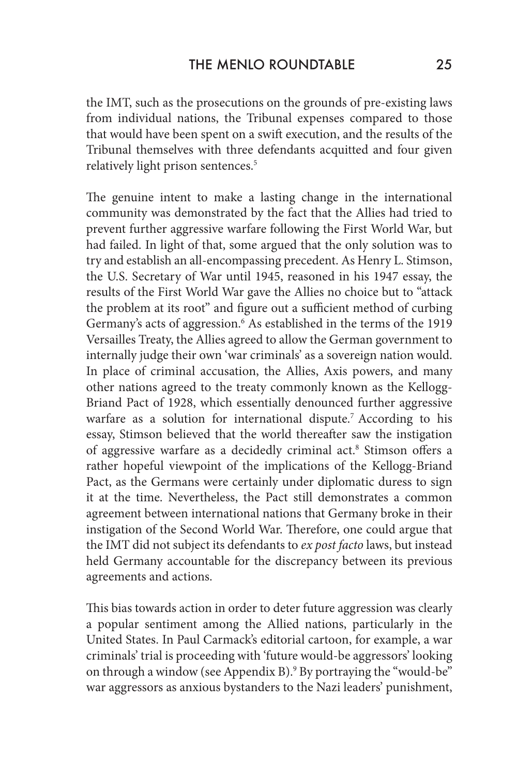the IMT, such as the prosecutions on the grounds of pre-existing laws from individual nations, the Tribunal expenses compared to those that would have been spent on a swift execution, and the results of the Tribunal themselves with three defendants acquitted and four given relatively light prison sentences.<sup>5</sup>

The genuine intent to make a lasting change in the international community was demonstrated by the fact that the Allies had tried to prevent further aggressive warfare following the First World War, but had failed. In light of that, some argued that the only solution was to try and establish an all-encompassing precedent. As Henry L. Stimson, the U.S. Secretary of War until 1945, reasoned in his 1947 essay, the results of the First World War gave the Allies no choice but to "attack the problem at its root" and figure out a sufficient method of curbing Germany's acts of aggression.<sup>6</sup> As established in the terms of the 1919 Versailles Treaty, the Allies agreed to allow the German government to internally judge their own 'war criminals' as a sovereign nation would. In place of criminal accusation, the Allies, Axis powers, and many other nations agreed to the treaty commonly known as the Kellogg-Briand Pact of 1928, which essentially denounced further aggressive warfare as a solution for international dispute.<sup>7</sup> According to his essay, Stimson believed that the world thereafter saw the instigation of aggressive warfare as a decidedly criminal act.<sup>8</sup> Stimson offers a rather hopeful viewpoint of the implications of the Kellogg-Briand Pact, as the Germans were certainly under diplomatic duress to sign it at the time. Nevertheless, the Pact still demonstrates a common agreement between international nations that Germany broke in their instigation of the Second World War. Therefore, one could argue that the IMT did not subject its defendants to *ex post facto* laws, but instead held Germany accountable for the discrepancy between its previous agreements and actions.

This bias towards action in order to deter future aggression was clearly a popular sentiment among the Allied nations, particularly in the United States. In Paul Carmack's editorial cartoon, for example, a war criminals' trial is proceeding with 'future would-be aggressors' looking on through a window (see Appendix B).<sup>9</sup> By portraying the "would-be" war aggressors as anxious bystanders to the Nazi leaders' punishment,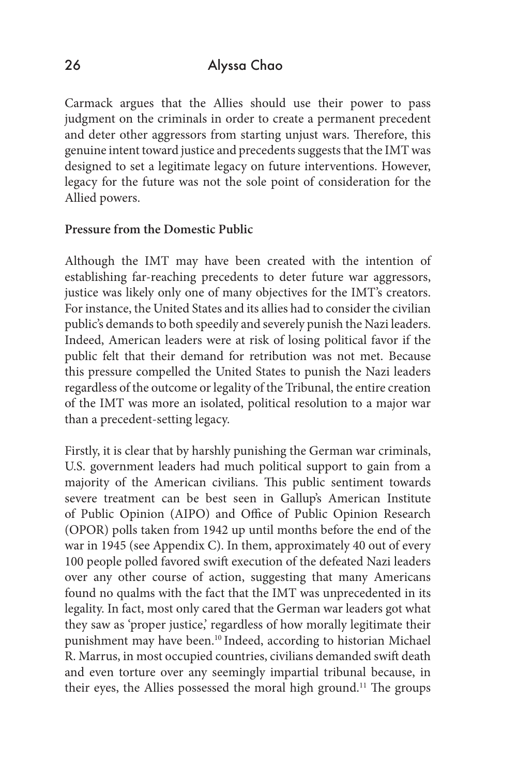Carmack argues that the Allies should use their power to pass judgment on the criminals in order to create a permanent precedent and deter other aggressors from starting unjust wars. Therefore, this genuine intent toward justice and precedents suggests that the IMT was designed to set a legitimate legacy on future interventions. However, legacy for the future was not the sole point of consideration for the Allied powers.

#### **Pressure from the Domestic Public**

Although the IMT may have been created with the intention of establishing far-reaching precedents to deter future war aggressors, justice was likely only one of many objectives for the IMT's creators. For instance, the United States and its allies had to consider the civilian public's demands to both speedily and severely punish the Nazi leaders. Indeed, American leaders were at risk of losing political favor if the public felt that their demand for retribution was not met. Because this pressure compelled the United States to punish the Nazi leaders regardless of the outcome or legality of the Tribunal, the entire creation of the IMT was more an isolated, political resolution to a major war than a precedent-setting legacy.

Firstly, it is clear that by harshly punishing the German war criminals, U.S. government leaders had much political support to gain from a majority of the American civilians. This public sentiment towards severe treatment can be best seen in Gallup's American Institute of Public Opinion (AIPO) and Office of Public Opinion Research (OPOR) polls taken from 1942 up until months before the end of the war in 1945 (see Appendix C). In them, approximately 40 out of every 100 people polled favored swift execution of the defeated Nazi leaders over any other course of action, suggesting that many Americans found no qualms with the fact that the IMT was unprecedented in its legality. In fact, most only cared that the German war leaders got what they saw as 'proper justice,' regardless of how morally legitimate their punishment may have been.10 Indeed, according to historian Michael R. Marrus, in most occupied countries, civilians demanded swift death and even torture over any seemingly impartial tribunal because, in their eyes, the Allies possessed the moral high ground.<sup>11</sup> The groups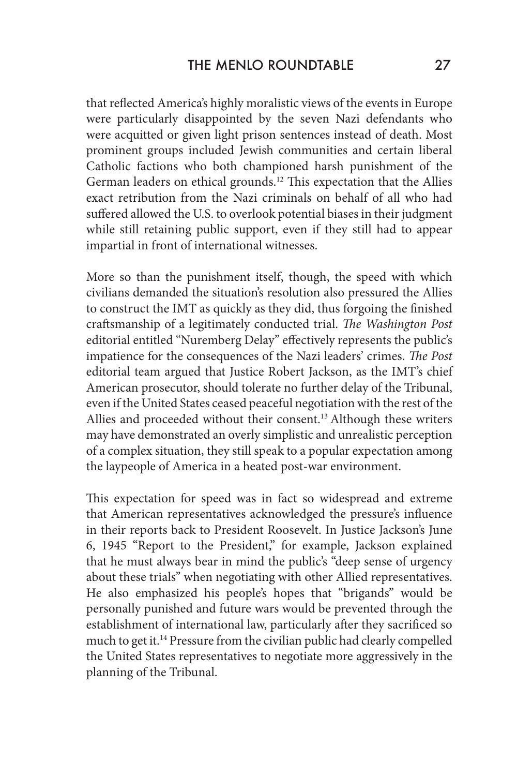that reflected America's highly moralistic views of the events in Europe were particularly disappointed by the seven Nazi defendants who were acquitted or given light prison sentences instead of death. Most prominent groups included Jewish communities and certain liberal Catholic factions who both championed harsh punishment of the German leaders on ethical grounds.<sup>12</sup> This expectation that the Allies exact retribution from the Nazi criminals on behalf of all who had suffered allowed the U.S. to overlook potential biases in their judgment while still retaining public support, even if they still had to appear impartial in front of international witnesses.

More so than the punishment itself, though, the speed with which civilians demanded the situation's resolution also pressured the Allies to construct the IMT as quickly as they did, thus forgoing the finished craftsmanship of a legitimately conducted trial. *The Washington Post*  editorial entitled "Nuremberg Delay" effectively represents the public's impatience for the consequences of the Nazi leaders' crimes. *The Post*  editorial team argued that Justice Robert Jackson, as the IMT's chief American prosecutor, should tolerate no further delay of the Tribunal, even if the United States ceased peaceful negotiation with the rest of the Allies and proceeded without their consent.<sup>13</sup> Although these writers may have demonstrated an overly simplistic and unrealistic perception of a complex situation, they still speak to a popular expectation among the laypeople of America in a heated post-war environment.

This expectation for speed was in fact so widespread and extreme that American representatives acknowledged the pressure's influence in their reports back to President Roosevelt. In Justice Jackson's June 6, 1945 "Report to the President," for example, Jackson explained that he must always bear in mind the public's "deep sense of urgency about these trials" when negotiating with other Allied representatives. He also emphasized his people's hopes that "brigands" would be personally punished and future wars would be prevented through the establishment of international law, particularly after they sacrificed so much to get it.14 Pressure from the civilian public had clearly compelled the United States representatives to negotiate more aggressively in the planning of the Tribunal.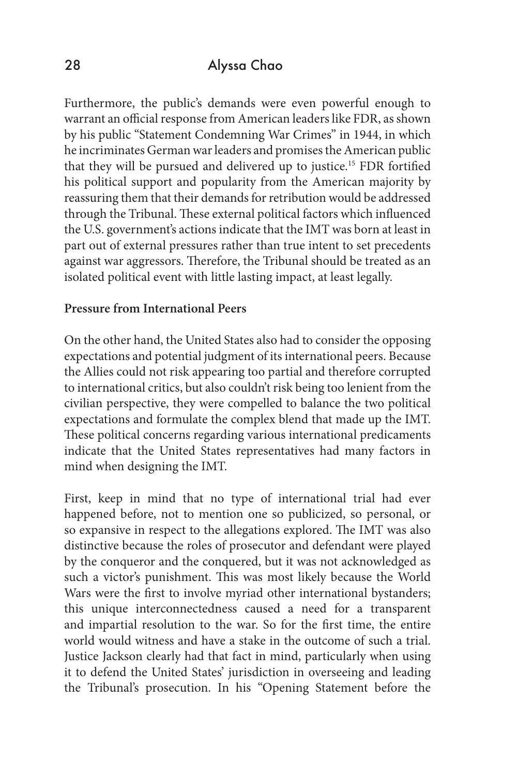Furthermore, the public's demands were even powerful enough to warrant an official response from American leaders like FDR, as shown by his public "Statement Condemning War Crimes" in 1944, in which he incriminates German war leaders and promises the American public that they will be pursued and delivered up to justice.15 FDR fortified his political support and popularity from the American majority by reassuring them that their demands for retribution would be addressed through the Tribunal. These external political factors which influenced the U.S. government's actions indicate that the IMT was born at least in part out of external pressures rather than true intent to set precedents against war aggressors. Therefore, the Tribunal should be treated as an isolated political event with little lasting impact, at least legally.

#### **Pressure from International Peers**

On the other hand, the United States also had to consider the opposing expectations and potential judgment of its international peers. Because the Allies could not risk appearing too partial and therefore corrupted to international critics, but also couldn't risk being too lenient from the civilian perspective, they were compelled to balance the two political expectations and formulate the complex blend that made up the IMT. These political concerns regarding various international predicaments indicate that the United States representatives had many factors in mind when designing the IMT.

First, keep in mind that no type of international trial had ever happened before, not to mention one so publicized, so personal, or so expansive in respect to the allegations explored. The IMT was also distinctive because the roles of prosecutor and defendant were played by the conqueror and the conquered, but it was not acknowledged as such a victor's punishment. This was most likely because the World Wars were the first to involve myriad other international bystanders; this unique interconnectedness caused a need for a transparent and impartial resolution to the war. So for the first time, the entire world would witness and have a stake in the outcome of such a trial. Justice Jackson clearly had that fact in mind, particularly when using it to defend the United States' jurisdiction in overseeing and leading the Tribunal's prosecution. In his "Opening Statement before the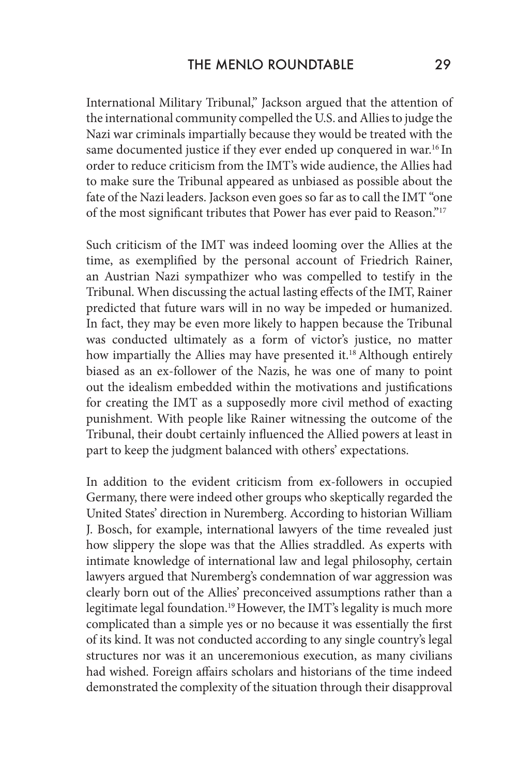International Military Tribunal," Jackson argued that the attention of the international community compelled the U.S. and Allies to judge the Nazi war criminals impartially because they would be treated with the same documented justice if they ever ended up conquered in war.<sup>16</sup> In order to reduce criticism from the IMT's wide audience, the Allies had to make sure the Tribunal appeared as unbiased as possible about the fate of the Nazi leaders. Jackson even goes so far as to call the IMT "one of the most significant tributes that Power has ever paid to Reason."17

Such criticism of the IMT was indeed looming over the Allies at the time, as exemplified by the personal account of Friedrich Rainer, an Austrian Nazi sympathizer who was compelled to testify in the Tribunal. When discussing the actual lasting effects of the IMT, Rainer predicted that future wars will in no way be impeded or humanized. In fact, they may be even more likely to happen because the Tribunal was conducted ultimately as a form of victor's justice, no matter how impartially the Allies may have presented it.<sup>18</sup> Although entirely biased as an ex-follower of the Nazis, he was one of many to point out the idealism embedded within the motivations and justifications for creating the IMT as a supposedly more civil method of exacting punishment. With people like Rainer witnessing the outcome of the Tribunal, their doubt certainly influenced the Allied powers at least in part to keep the judgment balanced with others' expectations.

In addition to the evident criticism from ex-followers in occupied Germany, there were indeed other groups who skeptically regarded the United States' direction in Nuremberg. According to historian William J. Bosch, for example, international lawyers of the time revealed just how slippery the slope was that the Allies straddled. As experts with intimate knowledge of international law and legal philosophy, certain lawyers argued that Nuremberg's condemnation of war aggression was clearly born out of the Allies' preconceived assumptions rather than a legitimate legal foundation.<sup>19</sup> However, the IMT's legality is much more complicated than a simple yes or no because it was essentially the first of its kind. It was not conducted according to any single country's legal structures nor was it an unceremonious execution, as many civilians had wished. Foreign affairs scholars and historians of the time indeed demonstrated the complexity of the situation through their disapproval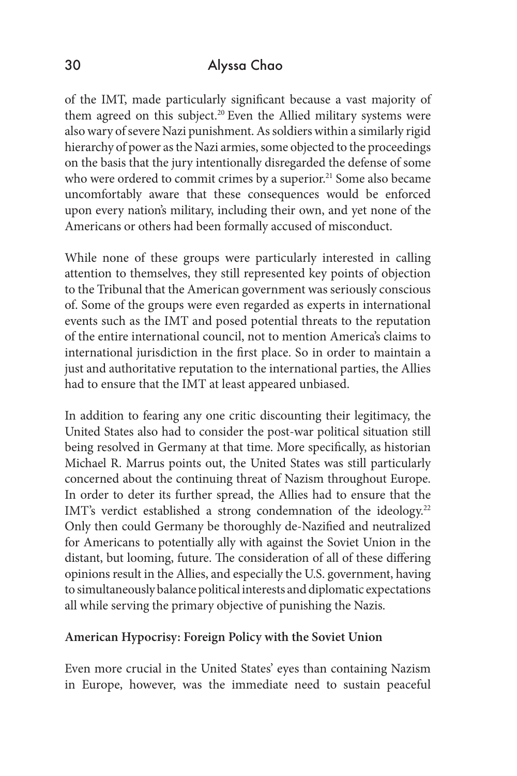of the IMT, made particularly significant because a vast majority of them agreed on this subject.<sup>20</sup> Even the Allied military systems were also wary of severe Nazi punishment. As soldiers within a similarly rigid hierarchy of power as the Nazi armies, some objected to the proceedings on the basis that the jury intentionally disregarded the defense of some who were ordered to commit crimes by a superior.<sup>21</sup> Some also became uncomfortably aware that these consequences would be enforced upon every nation's military, including their own, and yet none of the Americans or others had been formally accused of misconduct.

While none of these groups were particularly interested in calling attention to themselves, they still represented key points of objection to the Tribunal that the American government was seriously conscious of. Some of the groups were even regarded as experts in international events such as the IMT and posed potential threats to the reputation of the entire international council, not to mention America's claims to international jurisdiction in the first place. So in order to maintain a just and authoritative reputation to the international parties, the Allies had to ensure that the IMT at least appeared unbiased.

In addition to fearing any one critic discounting their legitimacy, the United States also had to consider the post-war political situation still being resolved in Germany at that time. More specifically, as historian Michael R. Marrus points out, the United States was still particularly concerned about the continuing threat of Nazism throughout Europe. In order to deter its further spread, the Allies had to ensure that the IMT's verdict established a strong condemnation of the ideology.<sup>22</sup> Only then could Germany be thoroughly de-Nazified and neutralized for Americans to potentially ally with against the Soviet Union in the distant, but looming, future. The consideration of all of these differing opinions result in the Allies, and especially the U.S. government, having to simultaneously balance political interests and diplomatic expectations all while serving the primary objective of punishing the Nazis.

#### **American Hypocrisy: Foreign Policy with the Soviet Union**

Even more crucial in the United States' eyes than containing Nazism in Europe, however, was the immediate need to sustain peaceful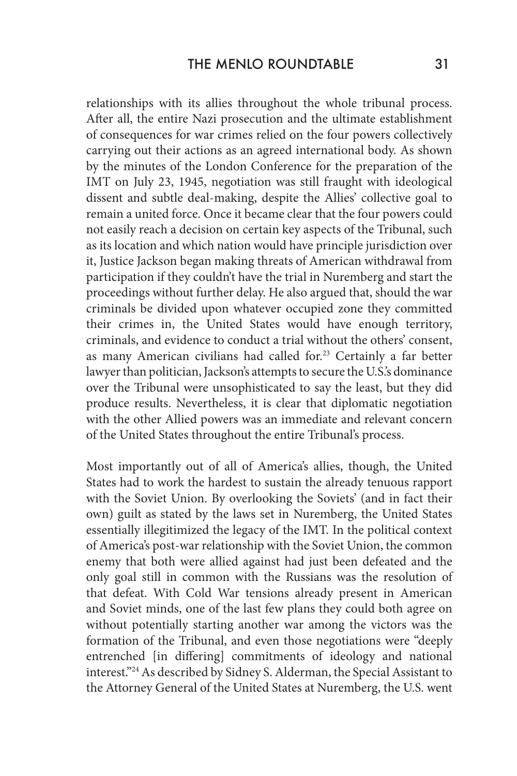relationships with its allies throughout the whole tribunal process. After all, the entire Nazi prosecution and the ultimate establishment of consequences for war crimes relied on the four powers collectively carrying out their actions as an agreed international body. As shown by the minutes of the London Conference for the preparation of the IMT on July 23, 1945, negotiation was still fraught with ideological dissent and subtle deal-making, despite the Allies' collective goal to remain a united force. Once it became clear that the four powers could not easily reach a decision on certain key aspects of the Tribunal, such as its location and which nation would have principle jurisdiction over it, Justice Jackson began making threats of American withdrawal from participation if they couldn't have the trial in Nuremberg and start the proceedings without further delay. He also argued that, should the war criminals be divided upon whatever occupied zone they committed their crimes in, the United States would have enough territory, criminals, and evidence to conduct a trial without the others' consent, as many American civilians had called for.<sup>23</sup> Certainly a far better lawyer than politician, Jackson's attempts to secure the U.S.'s dominance over the Tribunal were unsophisticated to say the least, but they did produce results. Nevertheless, it is clear that diplomatic negotiation with the other Allied powers was an immediate and relevant concern of the United States throughout the entire Tribunal's process.

Most importantly out of all of America's allies, though, the United States had to work the hardest to sustain the already tenuous rapport with the Soviet Union. By overlooking the Soviets' (and in fact their own) guilt as stated by the laws set in Nuremberg, the United States essentially illegitimized the legacy of the IMT. In the political context of America's post-war relationship with the Soviet Union, the common enemy that both were allied against had just been defeated and the only goal still in common with the Russians was the resolution of that defeat. With Cold War tensions already present in American and Soviet minds, one of the last few plans they could both agree on without potentially starting another war among the victors was the formation of the Tribunal, and even those negotiations were "deeply entrenched [in differing] commitments of ideology and national interest."24 As described by Sidney S. Alderman, the Special Assistant to the Attorney General of the United States at Nuremberg, the U.S. went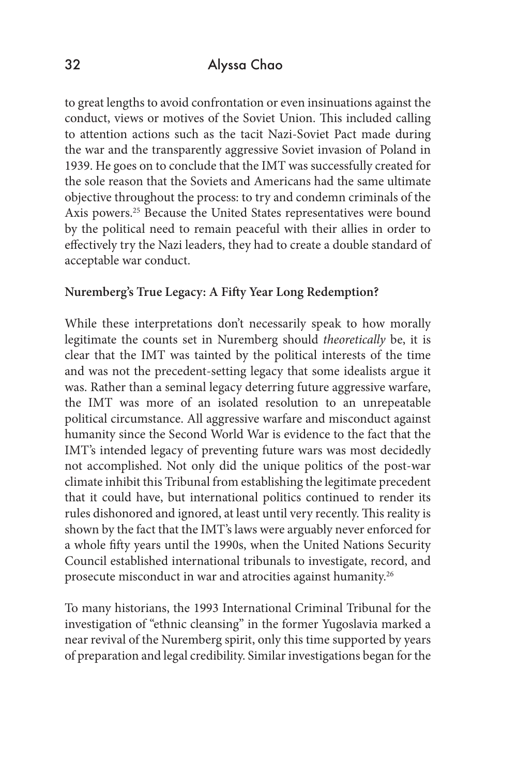to great lengths to avoid confrontation or even insinuations against the conduct, views or motives of the Soviet Union. This included calling to attention actions such as the tacit Nazi-Soviet Pact made during the war and the transparently aggressive Soviet invasion of Poland in 1939. He goes on to conclude that the IMT was successfully created for the sole reason that the Soviets and Americans had the same ultimate objective throughout the process: to try and condemn criminals of the Axis powers.<sup>25</sup> Because the United States representatives were bound by the political need to remain peaceful with their allies in order to effectively try the Nazi leaders, they had to create a double standard of acceptable war conduct.

#### **Nuremberg's True Legacy: A Fifty Year Long Redemption?**

While these interpretations don't necessarily speak to how morally legitimate the counts set in Nuremberg should *theoretically* be, it is clear that the IMT was tainted by the political interests of the time and was not the precedent-setting legacy that some idealists argue it was. Rather than a seminal legacy deterring future aggressive warfare, the IMT was more of an isolated resolution to an unrepeatable political circumstance. All aggressive warfare and misconduct against humanity since the Second World War is evidence to the fact that the IMT's intended legacy of preventing future wars was most decidedly not accomplished. Not only did the unique politics of the post-war climate inhibit this Tribunal from establishing the legitimate precedent that it could have, but international politics continued to render its rules dishonored and ignored, at least until very recently. This reality is shown by the fact that the IMT's laws were arguably never enforced for a whole fifty years until the 1990s, when the United Nations Security Council established international tribunals to investigate, record, and prosecute misconduct in war and atrocities against humanity.26

To many historians, the 1993 International Criminal Tribunal for the investigation of "ethnic cleansing" in the former Yugoslavia marked a near revival of the Nuremberg spirit, only this time supported by years of preparation and legal credibility. Similar investigations began for the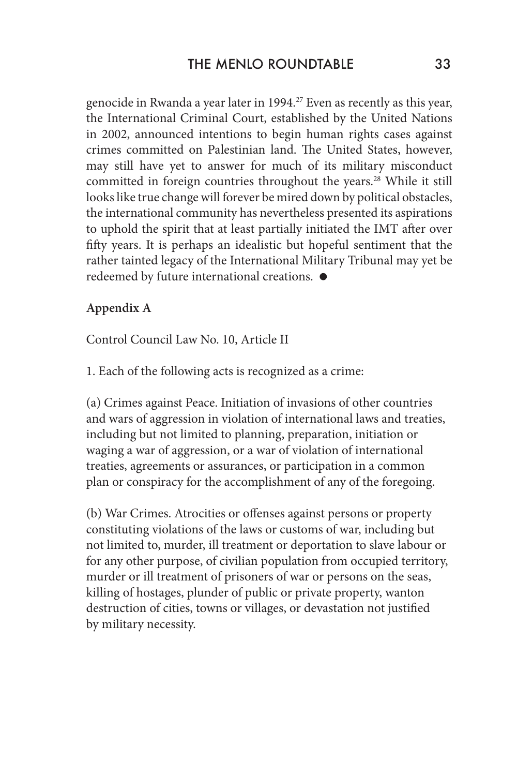genocide in Rwanda a year later in 1994.27 Even as recently as this year, the International Criminal Court, established by the United Nations in 2002, announced intentions to begin human rights cases against crimes committed on Palestinian land. The United States, however, may still have yet to answer for much of its military misconduct committed in foreign countries throughout the years.<sup>28</sup> While it still looks like true change will forever be mired down by political obstacles, the international community has nevertheless presented its aspirations to uphold the spirit that at least partially initiated the IMT after over fifty years. It is perhaps an idealistic but hopeful sentiment that the rather tainted legacy of the International Military Tribunal may yet be redeemed by future international creations.

#### **Appendix A**

Control Council Law No. 10, Article II

1. Each of the following acts is recognized as a crime:

(a) Crimes against Peace. Initiation of invasions of other countries and wars of aggression in violation of international laws and treaties, including but not limited to planning, preparation, initiation or waging a war of aggression, or a war of violation of international treaties, agreements or assurances, or participation in a common plan or conspiracy for the accomplishment of any of the foregoing.

(b) War Crimes. Atrocities or offenses against persons or property constituting violations of the laws or customs of war, including but not limited to, murder, ill treatment or deportation to slave labour or for any other purpose, of civilian population from occupied territory, murder or ill treatment of prisoners of war or persons on the seas, killing of hostages, plunder of public or private property, wanton destruction of cities, towns or villages, or devastation not justified by military necessity.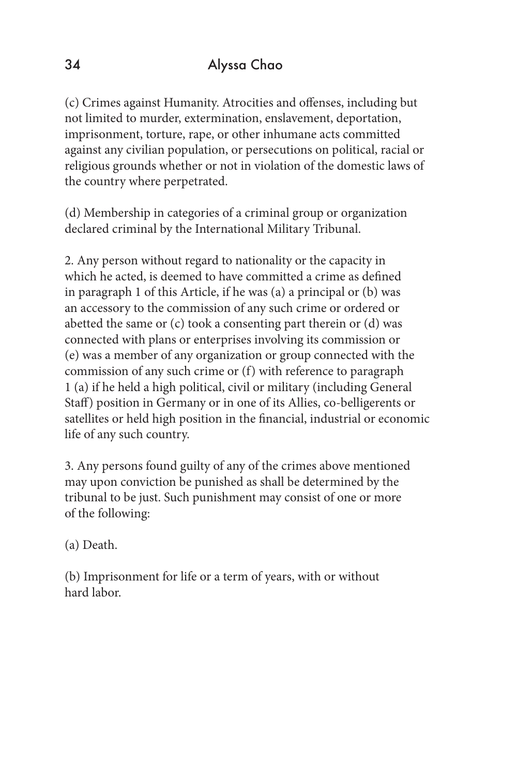(c) Crimes against Humanity. Atrocities and offenses, including but not limited to murder, extermination, enslavement, deportation, imprisonment, torture, rape, or other inhumane acts committed against any civilian population, or persecutions on political, racial or religious grounds whether or not in violation of the domestic laws of the country where perpetrated.

(d) Membership in categories of a criminal group or organization declared criminal by the International Military Tribunal.

2. Any person without regard to nationality or the capacity in which he acted, is deemed to have committed a crime as defined in paragraph 1 of this Article, if he was (a) a principal or (b) was an accessory to the commission of any such crime or ordered or abetted the same or (c) took a consenting part therein or (d) was connected with plans or enterprises involving its commission or (e) was a member of any organization or group connected with the commission of any such crime or (f) with reference to paragraph 1 (a) if he held a high political, civil or military (including General Staff) position in Germany or in one of its Allies, co-belligerents or satellites or held high position in the financial, industrial or economic life of any such country.

3. Any persons found guilty of any of the crimes above mentioned may upon conviction be punished as shall be determined by the tribunal to be just. Such punishment may consist of one or more of the following:

(a) Death.

(b) Imprisonment for life or a term of years, with or without hard labor.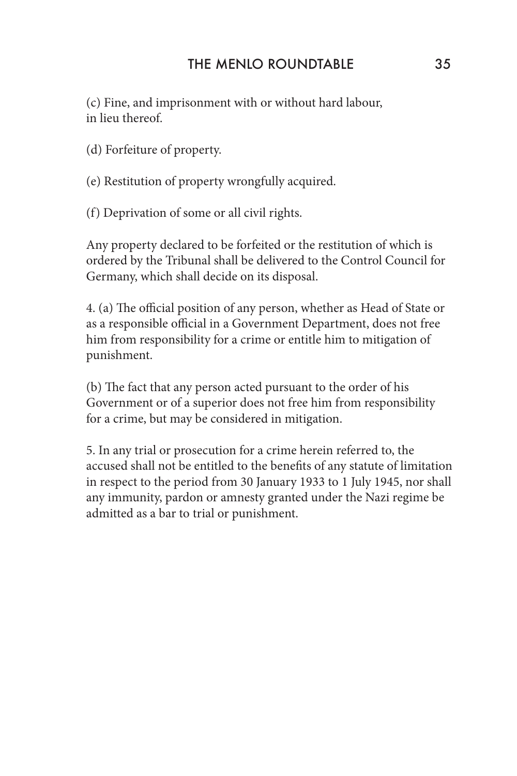(c) Fine, and imprisonment with or without hard labour, in lieu thereof.

(d) Forfeiture of property.

(e) Restitution of property wrongfully acquired.

(f) Deprivation of some or all civil rights.

Any property declared to be forfeited or the restitution of which is ordered by the Tribunal shall be delivered to the Control Council for Germany, which shall decide on its disposal.

4. (a) The official position of any person, whether as Head of State or as a responsible official in a Government Department, does not free him from responsibility for a crime or entitle him to mitigation of punishment.

(b) The fact that any person acted pursuant to the order of his Government or of a superior does not free him from responsibility for a crime, but may be considered in mitigation.

5. In any trial or prosecution for a crime herein referred to, the accused shall not be entitled to the benefits of any statute of limitation in respect to the period from 30 January 1933 to 1 July 1945, nor shall any immunity, pardon or amnesty granted under the Nazi regime be admitted as a bar to trial or punishment.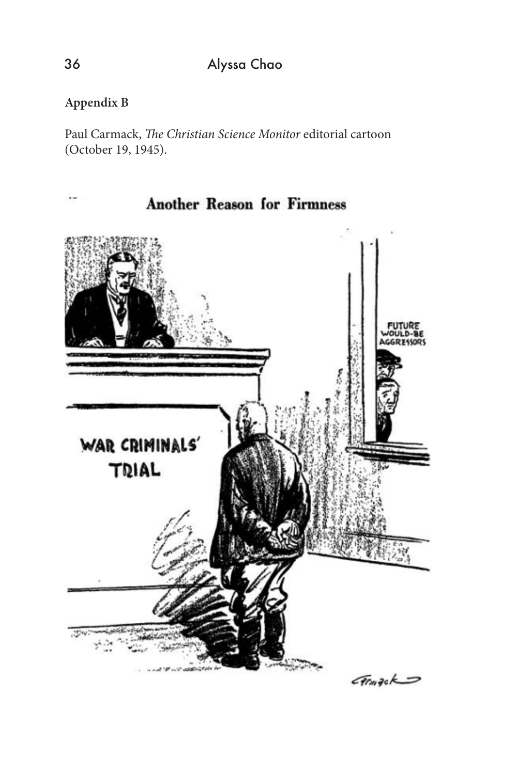# **Appendix B**

Paul Carmack, *The Christian Science Monitor* editorial cartoon (October 19, 1945).

**Another Reason for Firmness** 

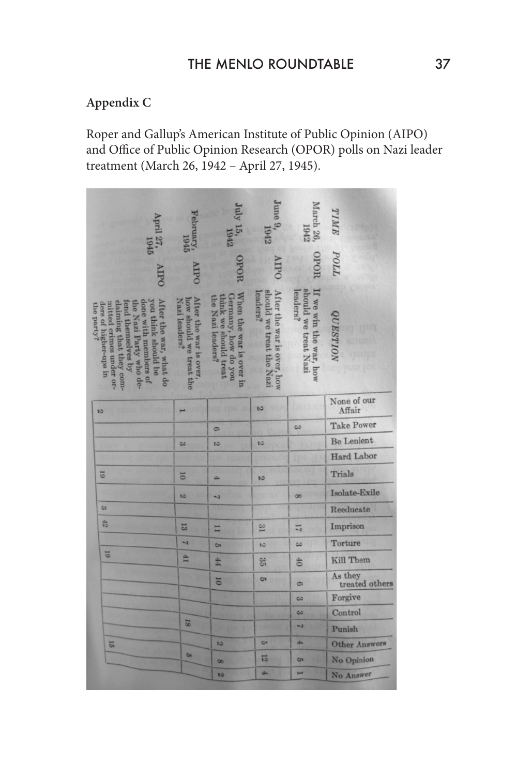# **Appendix C**

Roper and Gallup's American Institute of Public Opinion (AIPO) and Office of Public Opinion Research (OPOR) polls on Nazi leader treatment (March 26, 1942 – April 27, 1945).

| 945                                                                                                                                                                                                              | ruary,<br>1945                                                    | 15, 1942                                                                                   | Iune 9,                                                           | arch 26<br>1942                                            |                           |
|------------------------------------------------------------------------------------------------------------------------------------------------------------------------------------------------------------------|-------------------------------------------------------------------|--------------------------------------------------------------------------------------------|-------------------------------------------------------------------|------------------------------------------------------------|---------------------------|
|                                                                                                                                                                                                                  | Dall                                                              | HOT                                                                                        | <b>HPO</b>                                                        | HOdC                                                       | POLL                      |
| After the war, what do<br>done with members of<br>you think should be<br>claiming that they com-<br>mitted crimes under or-<br>end themselves by<br>he Nazi Party who de-<br>ders of higher-ups in<br>the party? | After the war is over<br>how should we treat the<br>Nazi leaders? | When the war is over in<br>Germany, how do you<br>hink we should treat<br>he Nazi leaders? | should we treat the Nazi<br>eaders?<br>After the war is over, how | should we treat Nazi<br>leaders?<br>If we win the war, how | <i><b>UESTION</b></i>     |
| $\overline{a}$                                                                                                                                                                                                   |                                                                   |                                                                                            | $\overline{a}$                                                    |                                                            | None of our<br>Affair     |
|                                                                                                                                                                                                                  |                                                                   | $\sigma$                                                                                   |                                                                   | co                                                         | <b>Take Power</b>         |
|                                                                                                                                                                                                                  | $\infty$                                                          | $\overline{b}$                                                                             | $\overline{53}$                                                   |                                                            | <b>Be Lenient</b>         |
|                                                                                                                                                                                                                  |                                                                   |                                                                                            |                                                                   |                                                            | <b>Hard Labor</b>         |
| 51                                                                                                                                                                                                               | $\Xi$                                                             | a.                                                                                         | $\overline{5}$                                                    |                                                            | Trials                    |
|                                                                                                                                                                                                                  | $\overline{5}$                                                    | $\overline{1}$                                                                             |                                                                   | $\infty$                                                   | Isolate-Exile             |
| CO.                                                                                                                                                                                                              |                                                                   |                                                                                            |                                                                   |                                                            | Reeducate                 |
| 42                                                                                                                                                                                                               | 13                                                                | E                                                                                          | $\overline{\mathcal{C}}$                                          | 17                                                         | Imprison                  |
|                                                                                                                                                                                                                  | $\overline{ }$                                                    | <b>GY</b>                                                                                  | $\overline{c}$                                                    | $\overline{\omega}$                                        | Torture                   |
| 51                                                                                                                                                                                                               | 41                                                                | H                                                                                          | 35                                                                | th                                                         | Kill Them                 |
|                                                                                                                                                                                                                  |                                                                   | <b>DI</b>                                                                                  | <b>GT</b>                                                         | $\sigma$                                                   | As they<br>treated others |
|                                                                                                                                                                                                                  |                                                                   |                                                                                            |                                                                   | ಲ                                                          | Forgive                   |
|                                                                                                                                                                                                                  |                                                                   |                                                                                            |                                                                   | co                                                         | Control                   |
|                                                                                                                                                                                                                  | 18                                                                |                                                                                            |                                                                   | $\mathbf{N}$                                               | Punish                    |
| 15                                                                                                                                                                                                               |                                                                   | bā.                                                                                        | Ċ٦                                                                | 山                                                          | <b>Other Answers</b>      |
|                                                                                                                                                                                                                  | <b>GY</b>                                                         | $\infty$                                                                                   | 局                                                                 | <b>on</b>                                                  | No Opinion                |
|                                                                                                                                                                                                                  |                                                                   | ь                                                                                          | illa.                                                             |                                                            | No Answer                 |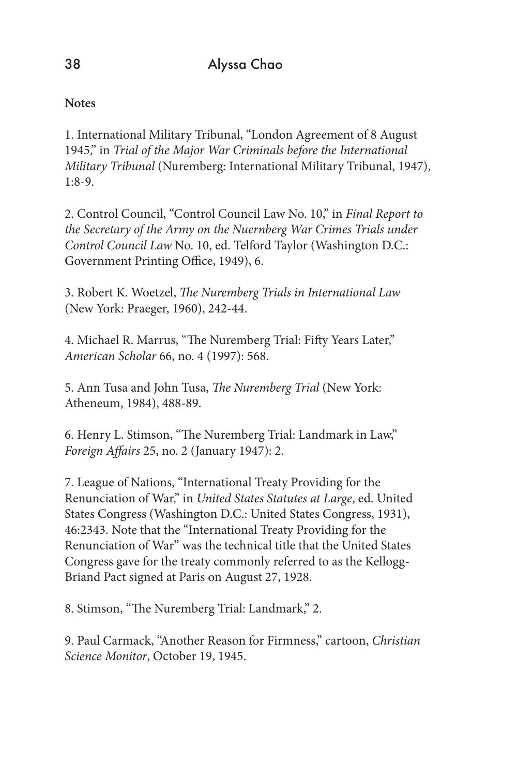**Notes**

1. International Military Tribunal, "London Agreement of 8 August 1945," in *Trial of the Major War Criminals before the International Military Tribunal* (Nuremberg: International Military Tribunal, 1947), 1:8-9.

2. Control Council, "Control Council Law No. 10," in *Final Report to the Secretary of the Army on the Nuernberg War Crimes Trials under Control Council Law* No. 10, ed. Telford Taylor (Washington D.C.: Government Printing Office, 1949), 6.

3. Robert K. Woetzel, *The Nuremberg Trials in International Law* (New York: Praeger, 1960), 242-44.

4. Michael R. Marrus, "The Nuremberg Trial: Fifty Years Later," *American Scholar* 66, no. 4 (1997): 568.

5. Ann Tusa and John Tusa, *The Nuremberg Trial* (New York: Atheneum, 1984), 488-89.

6. Henry L. Stimson, "The Nuremberg Trial: Landmark in Law," *Foreign Affairs* 25, no. 2 (January 1947): 2.

7. League of Nations, "International Treaty Providing for the Renunciation of War," in *United States Statutes at Large*, ed. United States Congress (Washington D.C.: United States Congress, 1931), 46:2343. Note that the "International Treaty Providing for the Renunciation of War" was the technical title that the United States Congress gave for the treaty commonly referred to as the Kellogg-Briand Pact signed at Paris on August 27, 1928.

8. Stimson, "The Nuremberg Trial: Landmark," 2.

9. Paul Carmack, "Another Reason for Firmness," cartoon, *Christian Science Monitor*, October 19, 1945.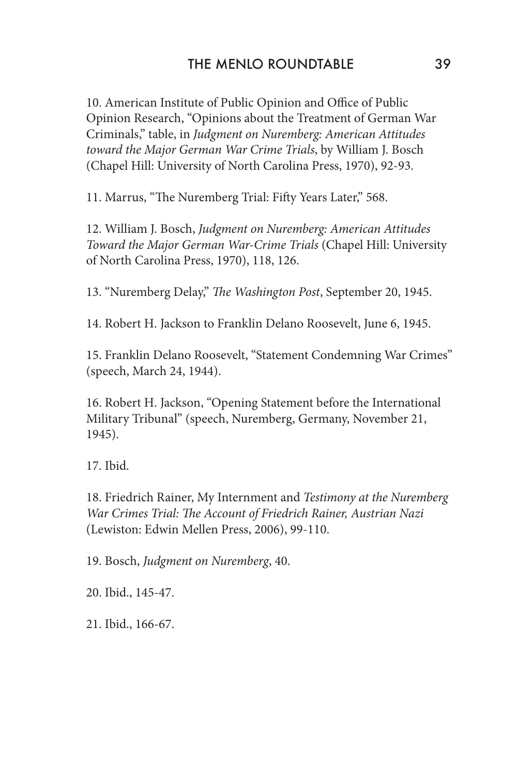10. American Institute of Public Opinion and Office of Public Opinion Research, "Opinions about the Treatment of German War Criminals," table, in *Judgment on Nuremberg: American Attitudes toward the Major German War Crime Trials*, by William J. Bosch (Chapel Hill: University of North Carolina Press, 1970), 92-93.

11. Marrus, "The Nuremberg Trial: Fifty Years Later," 568.

12. William J. Bosch, *Judgment on Nuremberg: American Attitudes Toward the Major German War-Crime Trials* (Chapel Hill: University of North Carolina Press, 1970), 118, 126.

13. "Nuremberg Delay," *The Washington Post*, September 20, 1945.

14. Robert H. Jackson to Franklin Delano Roosevelt, June 6, 1945.

15. Franklin Delano Roosevelt, "Statement Condemning War Crimes" (speech, March 24, 1944).

16. Robert H. Jackson, "Opening Statement before the International Military Tribunal" (speech, Nuremberg, Germany, November 21, 1945).

17. Ibid.

18. Friedrich Rainer, My Internment and *Testimony at the Nuremberg War Crimes Trial: The Account of Friedrich Rainer, Austrian Nazi* (Lewiston: Edwin Mellen Press, 2006), 99-110.

19. Bosch, *Judgment on Nuremberg*, 40.

20. Ibid., 145-47.

21. Ibid., 166-67.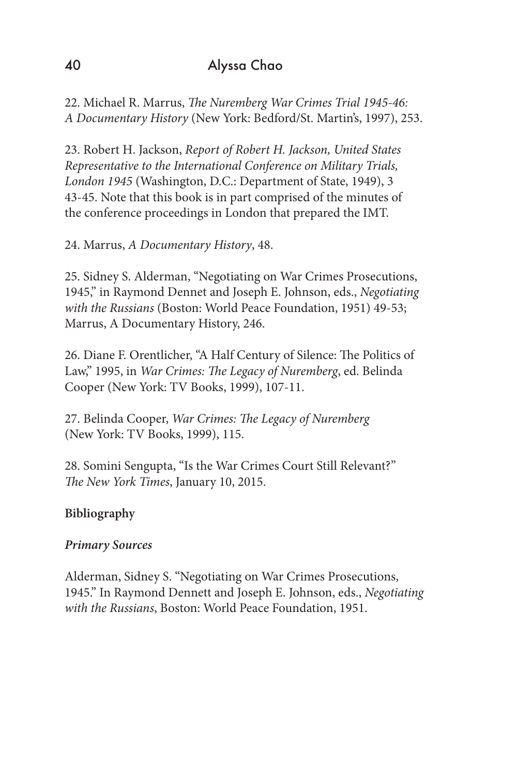22. Michael R. Marrus, *The Nuremberg War Crimes Trial 1945-46: A Documentary History* (New York: Bedford/St. Martin's, 1997), 253.

23. Robert H. Jackson, *Report of Robert H. Jackson, United States Representative to the International Conference on Military Trials, London 1945* (Washington, D.C.: Department of State, 1949), 3 43-45. Note that this book is in part comprised of the minutes of the conference proceedings in London that prepared the IMT.

24. Marrus, *A Documentary History*, 48.

25. Sidney S. Alderman, "Negotiating on War Crimes Prosecutions, 1945," in Raymond Dennet and Joseph E. Johnson, eds., *Negotiating with the Russians* (Boston: World Peace Foundation, 1951) 49-53; Marrus, A Documentary History, 246.

26. Diane F. Orentlicher, "A Half Century of Silence: The Politics of Law," 1995, in *War Crimes: The Legacy of Nuremberg*, ed. Belinda Cooper (New York: TV Books, 1999), 107-11.

27. Belinda Cooper, *War Crimes: The Legacy of Nuremberg* (New York: TV Books, 1999), 115.

28. Somini Sengupta, "Is the War Crimes Court Still Relevant?" *The New York Times*, January 10, 2015.

# **Bibliography**

### *Primary Sources*

Alderman, Sidney S. "Negotiating on War Crimes Prosecutions, 1945." In Raymond Dennett and Joseph E. Johnson, eds., *Negotiating with the Russians*, Boston: World Peace Foundation, 1951.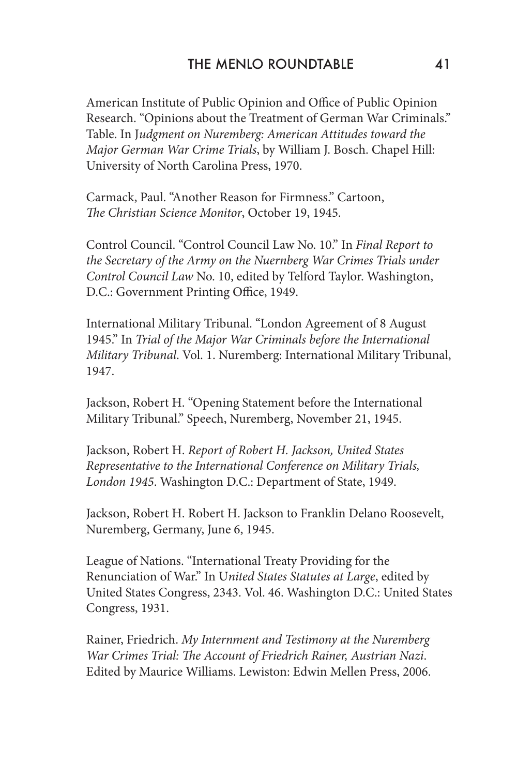American Institute of Public Opinion and Office of Public Opinion Research. "Opinions about the Treatment of German War Criminals." Table. In J*udgment on Nuremberg: American Attitudes toward the Major German War Crime Trials*, by William J. Bosch. Chapel Hill: University of North Carolina Press, 1970.

Carmack, Paul. "Another Reason for Firmness." Cartoon, *The Christian Science Monitor*, October 19, 1945.

Control Council. "Control Council Law No. 10." In *Final Report to the Secretary of the Army on the Nuernberg War Crimes Trials under Control Council Law* No. 10, edited by Telford Taylor. Washington, D.C.: Government Printing Office, 1949.

International Military Tribunal. "London Agreement of 8 August 1945." In *Trial of the Major War Criminals before the International Military Tribunal*. Vol. 1. Nuremberg: International Military Tribunal, 1947.

Jackson, Robert H. "Opening Statement before the International Military Tribunal." Speech, Nuremberg, November 21, 1945.

Jackson, Robert H. *Report of Robert H. Jackson, United States Representative to the International Conference on Military Trials, London 1945*. Washington D.C.: Department of State, 1949.

Jackson, Robert H. Robert H. Jackson to Franklin Delano Roosevelt, Nuremberg, Germany, June 6, 1945.

League of Nations. "International Treaty Providing for the Renunciation of War." In U*nited States Statutes at Large*, edited by United States Congress, 2343. Vol. 46. Washington D.C.: United States Congress, 1931.

Rainer, Friedrich. *My Internment and Testimony at the Nuremberg War Crimes Trial: The Account of Friedrich Rainer, Austrian Nazi*. Edited by Maurice Williams. Lewiston: Edwin Mellen Press, 2006.